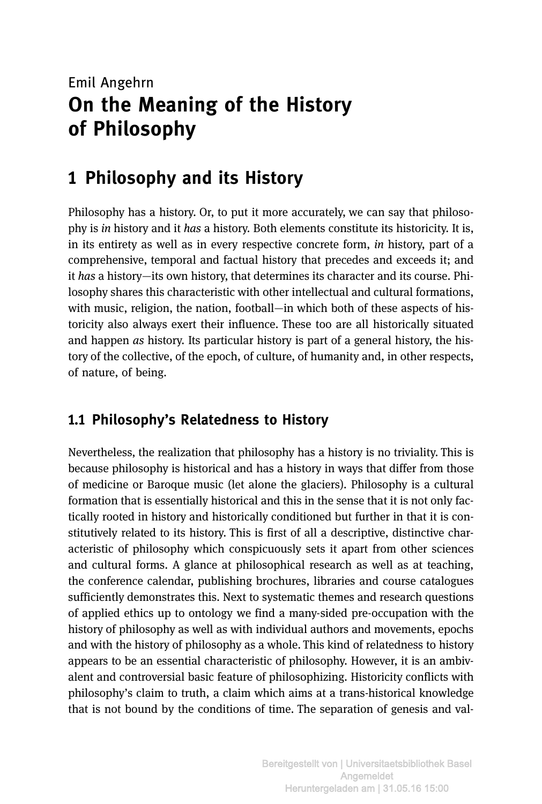# Emil Angehrn On the Meaning of the History of Philosophy

## 1 Philosophy and its History

Philosophy has a history. Or, to put it more accurately, we can say that philosophy is in history and it has a history. Both elements constitute its historicity. It is, in its entirety as well as in every respective concrete form, in history, part of a comprehensive, temporal and factual history that precedes and exceeds it; and it has a history—its own history, that determines its character and its course. Philosophy shares this characteristic with other intellectual and cultural formations, with music, religion, the nation, football—in which both of these aspects of historicity also always exert their influence. These too are all historically situated and happen as history. Its particular history is part of a general history, the history of the collective, of the epoch, of culture, of humanity and, in other respects, of nature, of being.

### 1.1 Philosophy's Relatedness to History

Nevertheless, the realization that philosophy has a history is no triviality. This is because philosophy is historical and has a history in ways that differ from those of medicine or Baroque music (let alone the glaciers). Philosophy is a cultural formation that is essentially historical and this in the sense that it is not only factically rooted in history and historically conditioned but further in that it is constitutively related to its history. This is first of all a descriptive, distinctive characteristic of philosophy which conspicuously sets it apart from other sciences and cultural forms. A glance at philosophical research as well as at teaching, the conference calendar, publishing brochures, libraries and course catalogues sufficiently demonstrates this. Next to systematic themes and research questions of applied ethics up to ontology we find a many-sided pre-occupation with the history of philosophy as well as with individual authors and movements, epochs and with the history of philosophy as a whole. This kind of relatedness to history appears to be an essential characteristic of philosophy. However, it is an ambivalent and controversial basic feature of philosophizing. Historicity conflicts with philosophy's claim to truth, a claim which aims at a trans-historical knowledge that is not bound by the conditions of time. The separation of genesis and val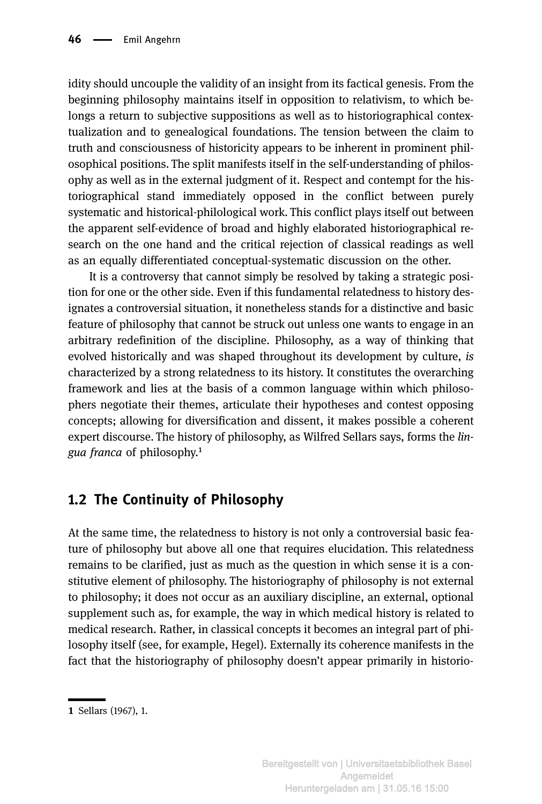idity should uncouple the validity of an insight from its factical genesis. From the beginning philosophy maintains itself in opposition to relativism, to which belongs a return to subjective suppositions as well as to historiographical contextualization and to genealogical foundations. The tension between the claim to truth and consciousness of historicity appears to be inherent in prominent philosophical positions. The split manifests itself in the self-understanding of philosophy as well as in the external judgment of it. Respect and contempt for the historiographical stand immediately opposed in the conflict between purely systematic and historical-philological work. This conflict plays itself out between the apparent self-evidence of broad and highly elaborated historiographical research on the one hand and the critical rejection of classical readings as well as an equally differentiated conceptual-systematic discussion on the other.

It is a controversy that cannot simply be resolved by taking a strategic position for one or the other side. Even if this fundamental relatedness to history designates a controversial situation, it nonetheless stands for a distinctive and basic feature of philosophy that cannot be struck out unless one wants to engage in an arbitrary redefinition of the discipline. Philosophy, as a way of thinking that evolved historically and was shaped throughout its development by culture, is characterized by a strong relatedness to its history. It constitutes the overarching framework and lies at the basis of a common language within which philosophers negotiate their themes, articulate their hypotheses and contest opposing concepts; allowing for diversification and dissent, it makes possible a coherent expert discourse. The history of philosophy, as Wilfred Sellars says, forms the lingua franca of philosophy.<sup>1</sup>

### 1.2 The Continuity of Philosophy

At the same time, the relatedness to history is not only a controversial basic feature of philosophy but above all one that requires elucidation. This relatedness remains to be clarified, just as much as the question in which sense it is a constitutive element of philosophy. The historiography of philosophy is not external to philosophy; it does not occur as an auxiliary discipline, an external, optional supplement such as, for example, the way in which medical history is related to medical research. Rather, in classical concepts it becomes an integral part of philosophy itself (see, for example, Hegel). Externally its coherence manifests in the fact that the historiography of philosophy doesn't appear primarily in historio-

<sup>1</sup> Sellars (1967), 1.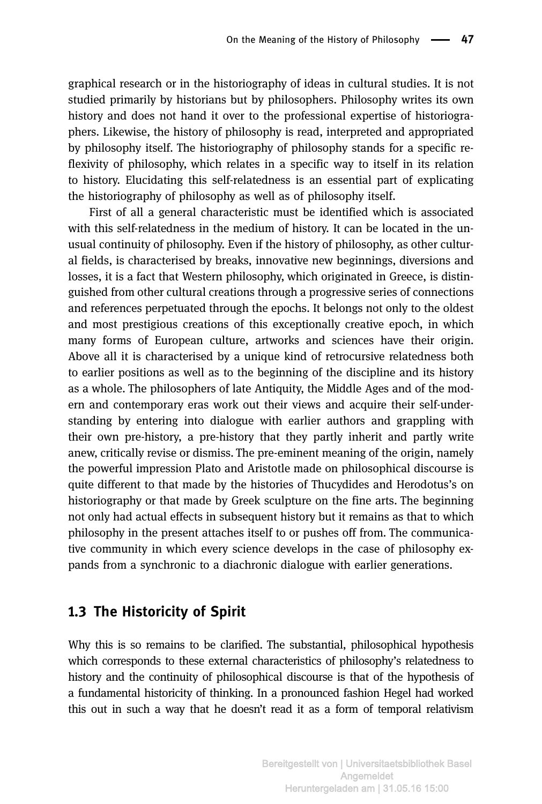graphical research or in the historiography of ideas in cultural studies. It is not studied primarily by historians but by philosophers. Philosophy writes its own history and does not hand it over to the professional expertise of historiographers. Likewise, the history of philosophy is read, interpreted and appropriated by philosophy itself. The historiography of philosophy stands for a specific reflexivity of philosophy, which relates in a specific way to itself in its relation to history. Elucidating this self-relatedness is an essential part of explicating the historiography of philosophy as well as of philosophy itself.

First of all a general characteristic must be identified which is associated with this self-relatedness in the medium of history. It can be located in the unusual continuity of philosophy. Even if the history of philosophy, as other cultural fields, is characterised by breaks, innovative new beginnings, diversions and losses, it is a fact that Western philosophy, which originated in Greece, is distinguished from other cultural creations through a progressive series of connections and references perpetuated through the epochs. It belongs not only to the oldest and most prestigious creations of this exceptionally creative epoch, in which many forms of European culture, artworks and sciences have their origin. Above all it is characterised by a unique kind of retrocursive relatedness both to earlier positions as well as to the beginning of the discipline and its history as a whole. The philosophers of late Antiquity, the Middle Ages and of the modern and contemporary eras work out their views and acquire their self-understanding by entering into dialogue with earlier authors and grappling with their own pre-history, a pre-history that they partly inherit and partly write anew, critically revise or dismiss. The pre-eminent meaning of the origin, namely the powerful impression Plato and Aristotle made on philosophical discourse is quite different to that made by the histories of Thucydides and Herodotus's on historiography or that made by Greek sculpture on the fine arts. The beginning not only had actual effects in subsequent history but it remains as that to which philosophy in the present attaches itself to or pushes off from. The communicative community in which every science develops in the case of philosophy expands from a synchronic to a diachronic dialogue with earlier generations.

#### 1.3 The Historicity of Spirit

Why this is so remains to be clarified. The substantial, philosophical hypothesis which corresponds to these external characteristics of philosophy's relatedness to history and the continuity of philosophical discourse is that of the hypothesis of a fundamental historicity of thinking. In a pronounced fashion Hegel had worked this out in such a way that he doesn't read it as a form of temporal relativism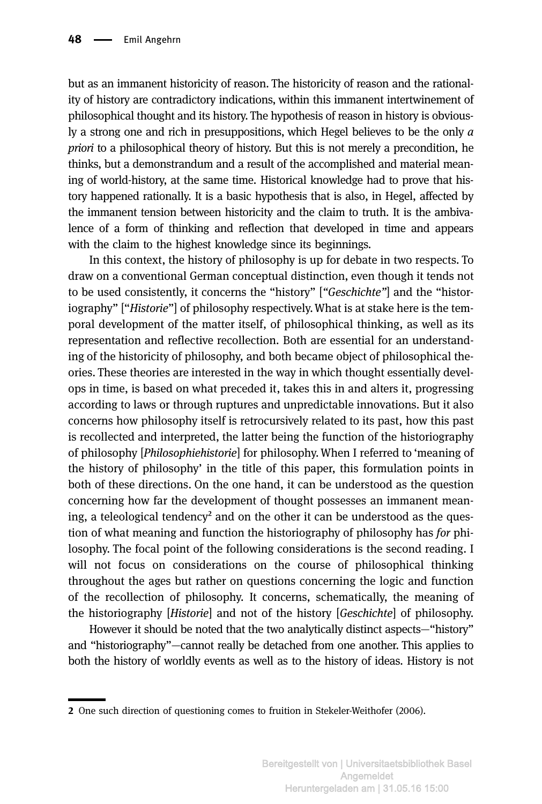but as an immanent historicity of reason. The historicity of reason and the rationality of history are contradictory indications, within this immanent intertwinement of philosophical thought and its history. The hypothesis of reason in history is obviously a strong one and rich in presuppositions, which Hegel believes to be the only  $\alpha$ priori to a philosophical theory of history. But this is not merely a precondition, he thinks, but a demonstrandum and a result of the accomplished and material meaning of world-history, at the same time. Historical knowledge had to prove that history happened rationally. It is a basic hypothesis that is also, in Hegel, affected by the immanent tension between historicity and the claim to truth. It is the ambivalence of a form of thinking and reflection that developed in time and appears with the claim to the highest knowledge since its beginnings.

In this context, the history of philosophy is up for debate in two respects. To draw on a conventional German conceptual distinction, even though it tends not to be used consistently, it concerns the "history" ["Geschichte"] and the "historiography" ["Historie"] of philosophy respectively. What is at stake here is the temporal development of the matter itself, of philosophical thinking, as well as its representation and reflective recollection. Both are essential for an understanding of the historicity of philosophy, and both became object of philosophical theories. These theories are interested in the way in which thought essentially develops in time, is based on what preceded it, takes this in and alters it, progressing according to laws or through ruptures and unpredictable innovations. But it also concerns how philosophy itself is retrocursively related to its past, how this past is recollected and interpreted, the latter being the function of the historiography of philosophy [Philosophiehistorie] for philosophy.When I referred to 'meaning of the history of philosophy' in the title of this paper, this formulation points in both of these directions. On the one hand, it can be understood as the question concerning how far the development of thought possesses an immanent meaning, a teleological tendency<sup>2</sup> and on the other it can be understood as the question of what meaning and function the historiography of philosophy has for philosophy. The focal point of the following considerations is the second reading. I will not focus on considerations on the course of philosophical thinking throughout the ages but rather on questions concerning the logic and function of the recollection of philosophy. It concerns, schematically, the meaning of the historiography [Historie] and not of the history [Geschichte] of philosophy.

However it should be noted that the two analytically distinct aspects—"history" and "historiography"—cannot really be detached from one another. This applies to both the history of worldly events as well as to the history of ideas. History is not

<sup>2</sup> One such direction of questioning comes to fruition in Stekeler-Weithofer (2006).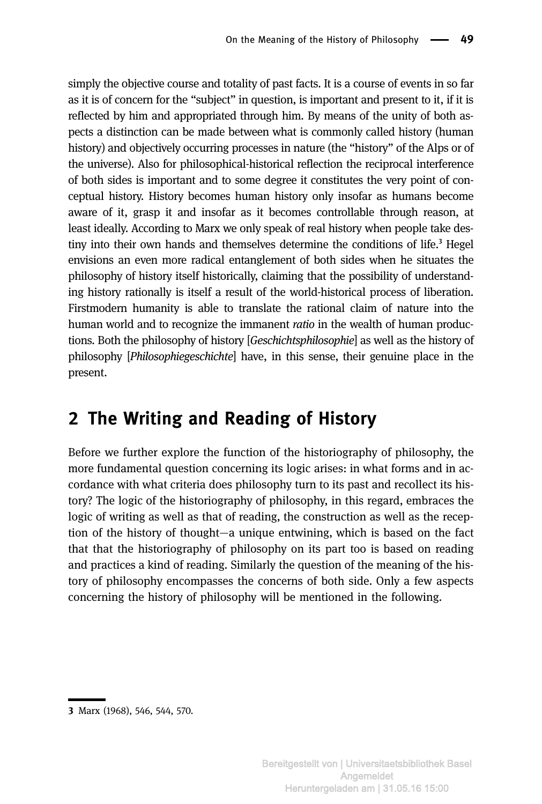simply the objective course and totality of past facts. It is a course of events in so far as it is of concern for the "subject" in question, is important and present to it, if it is reflected by him and appropriated through him. By means of the unity of both aspects a distinction can be made between what is commonly called history (human history) and objectively occurring processes in nature (the "history" of the Alps or of the universe). Also for philosophical-historical reflection the reciprocal interference of both sides is important and to some degree it constitutes the very point of conceptual history. History becomes human history only insofar as humans become aware of it, grasp it and insofar as it becomes controllable through reason, at least ideally. According to Marx we only speak of real history when people take destiny into their own hands and themselves determine the conditions of life.<sup>3</sup> Hegel envisions an even more radical entanglement of both sides when he situates the philosophy of history itself historically, claiming that the possibility of understanding history rationally is itself a result of the world-historical process of liberation. Firstmodern humanity is able to translate the rational claim of nature into the human world and to recognize the immanent ratio in the wealth of human productions. Both the philosophy of history [Geschichtsphilosophie] as well as the history of philosophy [Philosophiegeschichte] have, in this sense, their genuine place in the present.

### 2 The Writing and Reading of History

Before we further explore the function of the historiography of philosophy, the more fundamental question concerning its logic arises: in what forms and in accordance with what criteria does philosophy turn to its past and recollect its history? The logic of the historiography of philosophy, in this regard, embraces the logic of writing as well as that of reading, the construction as well as the reception of the history of thought—a unique entwining, which is based on the fact that that the historiography of philosophy on its part too is based on reading and practices a kind of reading. Similarly the question of the meaning of the history of philosophy encompasses the concerns of both side. Only a few aspects concerning the history of philosophy will be mentioned in the following.

<sup>3</sup> Marx (1968), 546, 544, 570.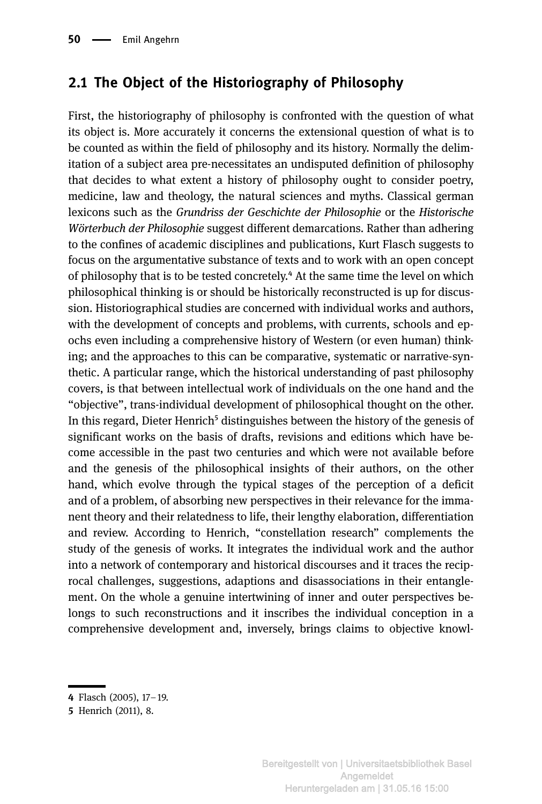#### 2.1 The Object of the Historiography of Philosophy

First, the historiography of philosophy is confronted with the question of what its object is. More accurately it concerns the extensional question of what is to be counted as within the field of philosophy and its history. Normally the delimitation of a subject area pre-necessitates an undisputed definition of philosophy that decides to what extent a history of philosophy ought to consider poetry, medicine, law and theology, the natural sciences and myths. Classical german lexicons such as the Grundriss der Geschichte der Philosophie or the Historische Wörterbuch der Philosophie suggest different demarcations. Rather than adhering to the confines of academic disciplines and publications, Kurt Flasch suggests to focus on the argumentative substance of texts and to work with an open concept of philosophy that is to be tested concretely.<sup>4</sup> At the same time the level on which philosophical thinking is or should be historically reconstructed is up for discussion. Historiographical studies are concerned with individual works and authors, with the development of concepts and problems, with currents, schools and epochs even including a comprehensive history of Western (or even human) thinking; and the approaches to this can be comparative, systematic or narrative-synthetic. A particular range, which the historical understanding of past philosophy covers, is that between intellectual work of individuals on the one hand and the "objective", trans-individual development of philosophical thought on the other. In this regard, Dieter Henrich<sup>5</sup> distinguishes between the history of the genesis of significant works on the basis of drafts, revisions and editions which have become accessible in the past two centuries and which were not available before and the genesis of the philosophical insights of their authors, on the other hand, which evolve through the typical stages of the perception of a deficit and of a problem, of absorbing new perspectives in their relevance for the immanent theory and their relatedness to life, their lengthy elaboration, differentiation and review. According to Henrich, "constellation research" complements the study of the genesis of works. It integrates the individual work and the author into a network of contemporary and historical discourses and it traces the reciprocal challenges, suggestions, adaptions and disassociations in their entanglement. On the whole a genuine intertwining of inner and outer perspectives belongs to such reconstructions and it inscribes the individual conception in a comprehensive development and, inversely, brings claims to objective knowl-

Flasch (2005), 17–19.

<sup>5</sup> Henrich (2011), 8.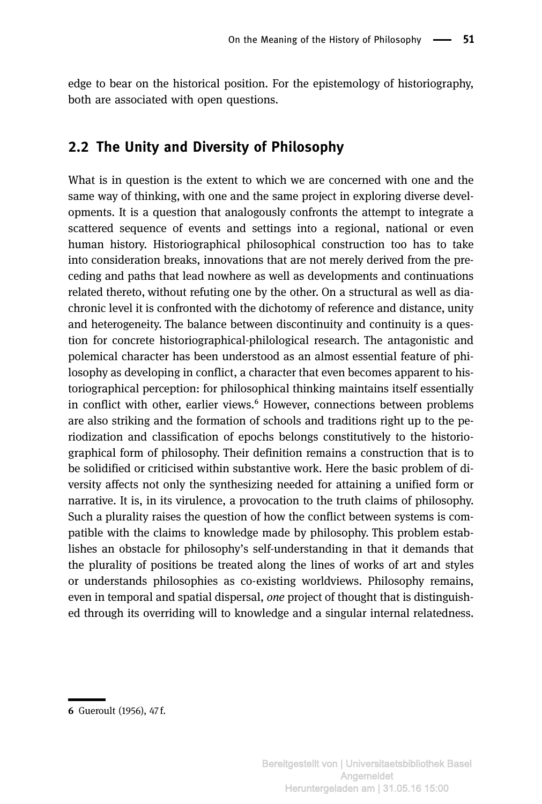edge to bear on the historical position. For the epistemology of historiography, both are associated with open questions.

#### 2.2 The Unity and Diversity of Philosophy

What is in question is the extent to which we are concerned with one and the same way of thinking, with one and the same project in exploring diverse developments. It is a question that analogously confronts the attempt to integrate a scattered sequence of events and settings into a regional, national or even human history. Historiographical philosophical construction too has to take into consideration breaks, innovations that are not merely derived from the preceding and paths that lead nowhere as well as developments and continuations related thereto, without refuting one by the other. On a structural as well as diachronic level it is confronted with the dichotomy of reference and distance, unity and heterogeneity. The balance between discontinuity and continuity is a question for concrete historiographical-philological research. The antagonistic and polemical character has been understood as an almost essential feature of philosophy as developing in conflict, a character that even becomes apparent to historiographical perception: for philosophical thinking maintains itself essentially in conflict with other, earlier views.<sup>6</sup> However, connections between problems are also striking and the formation of schools and traditions right up to the periodization and classification of epochs belongs constitutively to the historiographical form of philosophy. Their definition remains a construction that is to be solidified or criticised within substantive work. Here the basic problem of diversity affects not only the synthesizing needed for attaining a unified form or narrative. It is, in its virulence, a provocation to the truth claims of philosophy. Such a plurality raises the question of how the conflict between systems is compatible with the claims to knowledge made by philosophy. This problem establishes an obstacle for philosophy's self-understanding in that it demands that the plurality of positions be treated along the lines of works of art and styles or understands philosophies as co-existing worldviews. Philosophy remains, even in temporal and spatial dispersal, one project of thought that is distinguished through its overriding will to knowledge and a singular internal relatedness.

Gueroult (1956), 47 f.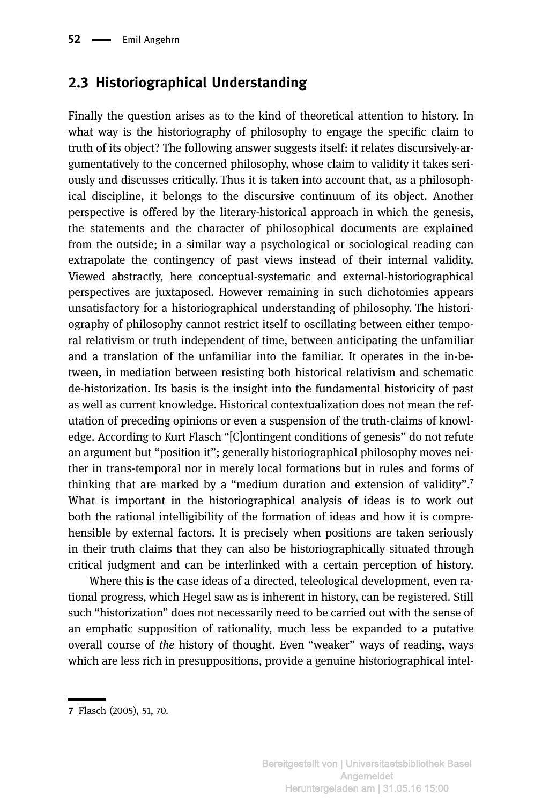#### 2.3 Historiographical Understanding

Finally the question arises as to the kind of theoretical attention to history. In what way is the historiography of philosophy to engage the specific claim to truth of its object? The following answer suggests itself: it relates discursively-argumentatively to the concerned philosophy, whose claim to validity it takes seriously and discusses critically. Thus it is taken into account that, as a philosophical discipline, it belongs to the discursive continuum of its object. Another perspective is offered by the literary-historical approach in which the genesis, the statements and the character of philosophical documents are explained from the outside; in a similar way a psychological or sociological reading can extrapolate the contingency of past views instead of their internal validity. Viewed abstractly, here conceptual-systematic and external-historiographical perspectives are juxtaposed. However remaining in such dichotomies appears unsatisfactory for a historiographical understanding of philosophy. The historiography of philosophy cannot restrict itself to oscillating between either temporal relativism or truth independent of time, between anticipating the unfamiliar and a translation of the unfamiliar into the familiar. It operates in the in-between, in mediation between resisting both historical relativism and schematic de-historization. Its basis is the insight into the fundamental historicity of past as well as current knowledge. Historical contextualization does not mean the refutation of preceding opinions or even a suspension of the truth-claims of knowledge. According to Kurt Flasch "[C]ontingent conditions of genesis" do not refute an argument but "position it"; generally historiographical philosophy moves neither in trans-temporal nor in merely local formations but in rules and forms of thinking that are marked by a "medium duration and extension of validity".<sup>7</sup> What is important in the historiographical analysis of ideas is to work out both the rational intelligibility of the formation of ideas and how it is comprehensible by external factors. It is precisely when positions are taken seriously in their truth claims that they can also be historiographically situated through critical judgment and can be interlinked with a certain perception of history.

Where this is the case ideas of a directed, teleological development, even rational progress, which Hegel saw as is inherent in history, can be registered. Still such "historization" does not necessarily need to be carried out with the sense of an emphatic supposition of rationality, much less be expanded to a putative overall course of the history of thought. Even "weaker" ways of reading, ways which are less rich in presuppositions, provide a genuine historiographical intel-

Flasch (2005), 51, 70.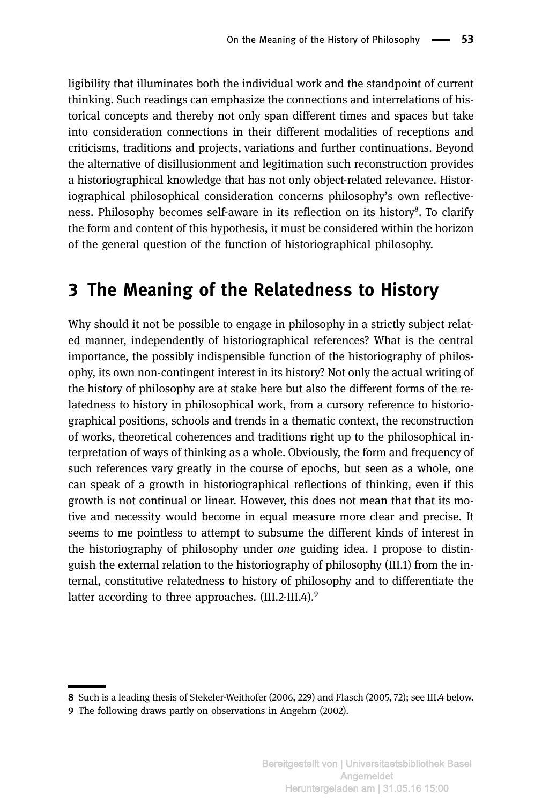ligibility that illuminates both the individual work and the standpoint of current thinking. Such readings can emphasize the connections and interrelations of historical concepts and thereby not only span different times and spaces but take into consideration connections in their different modalities of receptions and criticisms, traditions and projects, variations and further continuations. Beyond the alternative of disillusionment and legitimation such reconstruction provides a historiographical knowledge that has not only object-related relevance. Historiographical philosophical consideration concerns philosophy's own reflectiveness. Philosophy becomes self-aware in its reflection on its history<sup>8</sup>. To clarify the form and content of this hypothesis, it must be considered within the horizon of the general question of the function of historiographical philosophy.

## 3 The Meaning of the Relatedness to History

Why should it not be possible to engage in philosophy in a strictly subject related manner, independently of historiographical references? What is the central importance, the possibly indispensible function of the historiography of philosophy, its own non-contingent interest in its history? Not only the actual writing of the history of philosophy are at stake here but also the different forms of the relatedness to history in philosophical work, from a cursory reference to historiographical positions, schools and trends in a thematic context, the reconstruction of works, theoretical coherences and traditions right up to the philosophical interpretation of ways of thinking as a whole. Obviously, the form and frequency of such references vary greatly in the course of epochs, but seen as a whole, one can speak of a growth in historiographical reflections of thinking, even if this growth is not continual or linear. However, this does not mean that that its motive and necessity would become in equal measure more clear and precise. It seems to me pointless to attempt to subsume the different kinds of interest in the historiography of philosophy under one guiding idea. I propose to distinguish the external relation to the historiography of philosophy (III.1) from the internal, constitutive relatedness to history of philosophy and to differentiate the latter according to three approaches.  $(III.2-III.4).$ <sup>9</sup>

<sup>8</sup> Such is a leading thesis of Stekeler-Weithofer (2006, 229) and Flasch (2005, 72); see III.4 below.

<sup>9</sup> The following draws partly on observations in Angehrn (2002).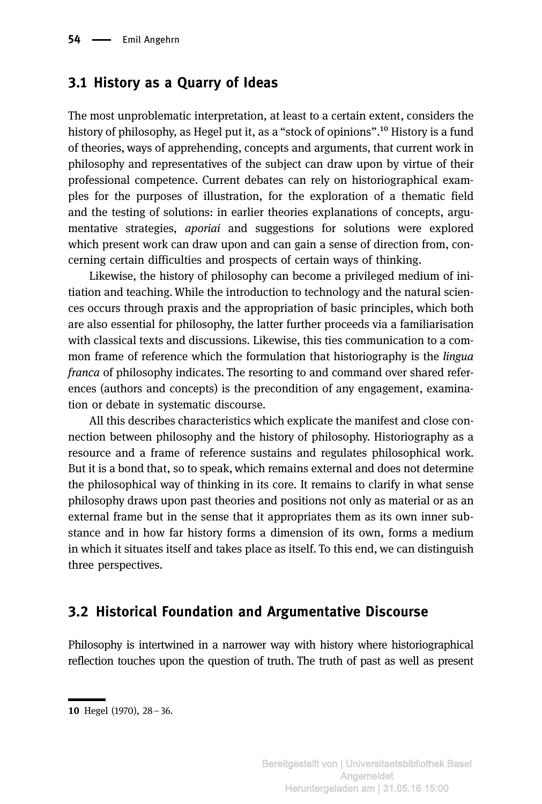#### 3.1 History as a Quarry of Ideas

The most unproblematic interpretation, at least to a certain extent, considers the history of philosophy, as Hegel put it, as a "stock of opinions".<sup>10</sup> History is a fund of theories, ways of apprehending, concepts and arguments, that current work in philosophy and representatives of the subject can draw upon by virtue of their professional competence. Current debates can rely on historiographical examples for the purposes of illustration, for the exploration of a thematic field and the testing of solutions: in earlier theories explanations of concepts, argumentative strategies, *aporiai* and suggestions for solutions were explored which present work can draw upon and can gain a sense of direction from, concerning certain difficulties and prospects of certain ways of thinking.

Likewise, the history of philosophy can become a privileged medium of initiation and teaching.While the introduction to technology and the natural sciences occurs through praxis and the appropriation of basic principles, which both are also essential for philosophy, the latter further proceeds via a familiarisation with classical texts and discussions. Likewise, this ties communication to a common frame of reference which the formulation that historiography is the lingua franca of philosophy indicates. The resorting to and command over shared references (authors and concepts) is the precondition of any engagement, examination or debate in systematic discourse.

All this describes characteristics which explicate the manifest and close connection between philosophy and the history of philosophy. Historiography as a resource and a frame of reference sustains and regulates philosophical work. But it is a bond that, so to speak, which remains external and does not determine the philosophical way of thinking in its core. It remains to clarify in what sense philosophy draws upon past theories and positions not only as material or as an external frame but in the sense that it appropriates them as its own inner substance and in how far history forms a dimension of its own, forms a medium in which it situates itself and takes place as itself. To this end, we can distinguish three perspectives.

#### 3.2 Historical Foundation and Argumentative Discourse

Philosophy is intertwined in a narrower way with history where historiographical reflection touches upon the question of truth. The truth of past as well as present

<sup>10</sup> Hegel (1970), 28-36.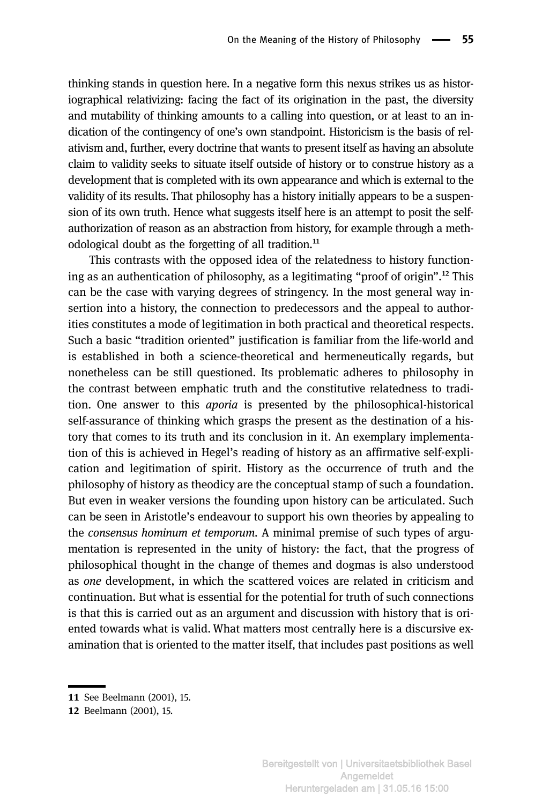thinking stands in question here. In a negative form this nexus strikes us as historiographical relativizing: facing the fact of its origination in the past, the diversity and mutability of thinking amounts to a calling into question, or at least to an indication of the contingency of one's own standpoint. Historicism is the basis of relativism and, further, every doctrine that wants to present itself as having an absolute claim to validity seeks to situate itself outside of history or to construe history as a development that is completed with its own appearance and which is external to the validity of its results. That philosophy has a history initially appears to be a suspension of its own truth. Hence what suggests itself here is an attempt to posit the selfauthorization of reason as an abstraction from history, for example through a methodological doubt as the forgetting of all tradition. $11$ 

This contrasts with the opposed idea of the relatedness to history functioning as an authentication of philosophy, as a legitimating "proof of origin".<sup>12</sup> This can be the case with varying degrees of stringency. In the most general way insertion into a history, the connection to predecessors and the appeal to authorities constitutes a mode of legitimation in both practical and theoretical respects. Such a basic "tradition oriented" justification is familiar from the life-world and is established in both a science-theoretical and hermeneutically regards, but nonetheless can be still questioned. Its problematic adheres to philosophy in the contrast between emphatic truth and the constitutive relatedness to tradition. One answer to this aporia is presented by the philosophical-historical self-assurance of thinking which grasps the present as the destination of a history that comes to its truth and its conclusion in it. An exemplary implementation of this is achieved in Hegel's reading of history as an affirmative self-explication and legitimation of spirit. History as the occurrence of truth and the philosophy of history as theodicy are the conceptual stamp of such a foundation. But even in weaker versions the founding upon history can be articulated. Such can be seen in Aristotle's endeavour to support his own theories by appealing to the consensus hominum et temporum. A minimal premise of such types of argumentation is represented in the unity of history: the fact, that the progress of philosophical thought in the change of themes and dogmas is also understood as one development, in which the scattered voices are related in criticism and continuation. But what is essential for the potential for truth of such connections is that this is carried out as an argument and discussion with history that is oriented towards what is valid. What matters most centrally here is a discursive examination that is oriented to the matter itself, that includes past positions as well

<sup>11</sup> See Beelmann (2001), 15.

<sup>12</sup> Beelmann (2001), 15.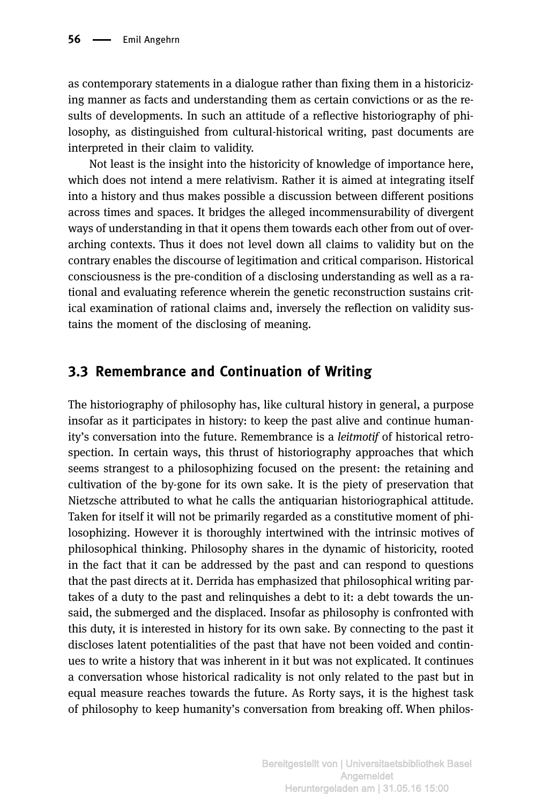as contemporary statements in a dialogue rather than fixing them in a historicizing manner as facts and understanding them as certain convictions or as the results of developments. In such an attitude of a reflective historiography of philosophy, as distinguished from cultural-historical writing, past documents are interpreted in their claim to validity.

Not least is the insight into the historicity of knowledge of importance here, which does not intend a mere relativism. Rather it is aimed at integrating itself into a history and thus makes possible a discussion between different positions across times and spaces. It bridges the alleged incommensurability of divergent ways of understanding in that it opens them towards each other from out of overarching contexts. Thus it does not level down all claims to validity but on the contrary enables the discourse of legitimation and critical comparison. Historical consciousness is the pre-condition of a disclosing understanding as well as a rational and evaluating reference wherein the genetic reconstruction sustains critical examination of rational claims and, inversely the reflection on validity sustains the moment of the disclosing of meaning.

#### 3.3 Remembrance and Continuation of Writing

The historiography of philosophy has, like cultural history in general, a purpose insofar as it participates in history: to keep the past alive and continue humanity's conversation into the future. Remembrance is a leitmotif of historical retrospection. In certain ways, this thrust of historiography approaches that which seems strangest to a philosophizing focused on the present: the retaining and cultivation of the by-gone for its own sake. It is the piety of preservation that Nietzsche attributed to what he calls the antiquarian historiographical attitude. Taken for itself it will not be primarily regarded as a constitutive moment of philosophizing. However it is thoroughly intertwined with the intrinsic motives of philosophical thinking. Philosophy shares in the dynamic of historicity, rooted in the fact that it can be addressed by the past and can respond to questions that the past directs at it. Derrida has emphasized that philosophical writing partakes of a duty to the past and relinquishes a debt to it: a debt towards the unsaid, the submerged and the displaced. Insofar as philosophy is confronted with this duty, it is interested in history for its own sake. By connecting to the past it discloses latent potentialities of the past that have not been voided and continues to write a history that was inherent in it but was not explicated. It continues a conversation whose historical radicality is not only related to the past but in equal measure reaches towards the future. As Rorty says, it is the highest task of philosophy to keep humanity's conversation from breaking off. When philos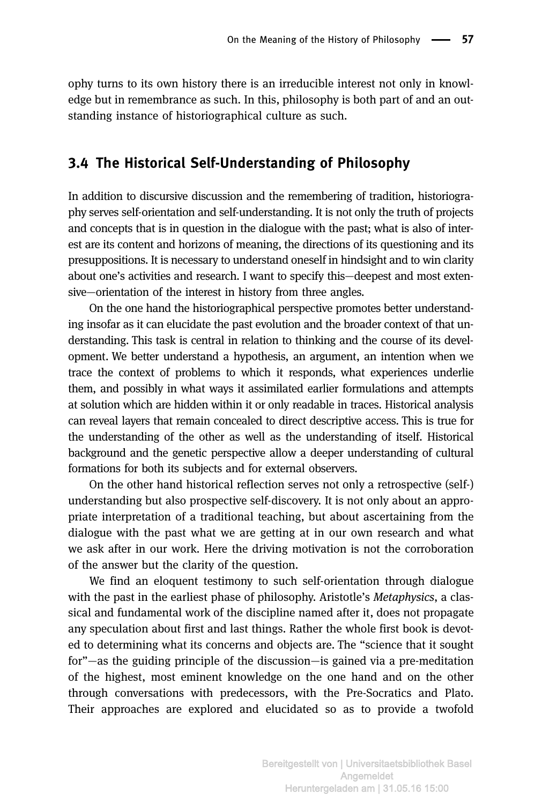ophy turns to its own history there is an irreducible interest not only in knowledge but in remembrance as such. In this, philosophy is both part of and an outstanding instance of historiographical culture as such.

#### 3.4 The Historical Self-Understanding of Philosophy

In addition to discursive discussion and the remembering of tradition, historiography serves self-orientation and self-understanding. It is not only the truth of projects and concepts that is in question in the dialogue with the past; what is also of interest are its content and horizons of meaning, the directions of its questioning and its presuppositions. It is necessary to understand oneself in hindsight and to win clarity about one's activities and research. I want to specify this—deepest and most extensive—orientation of the interest in history from three angles.

On the one hand the historiographical perspective promotes better understanding insofar as it can elucidate the past evolution and the broader context of that understanding. This task is central in relation to thinking and the course of its development. We better understand a hypothesis, an argument, an intention when we trace the context of problems to which it responds, what experiences underlie them, and possibly in what ways it assimilated earlier formulations and attempts at solution which are hidden within it or only readable in traces. Historical analysis can reveal layers that remain concealed to direct descriptive access. This is true for the understanding of the other as well as the understanding of itself. Historical background and the genetic perspective allow a deeper understanding of cultural formations for both its subjects and for external observers.

On the other hand historical reflection serves not only a retrospective (self‐) understanding but also prospective self-discovery. It is not only about an appropriate interpretation of a traditional teaching, but about ascertaining from the dialogue with the past what we are getting at in our own research and what we ask after in our work. Here the driving motivation is not the corroboration of the answer but the clarity of the question.

We find an eloquent testimony to such self-orientation through dialogue with the past in the earliest phase of philosophy. Aristotle's *Metaphysics*, a classical and fundamental work of the discipline named after it, does not propagate any speculation about first and last things. Rather the whole first book is devoted to determining what its concerns and objects are. The "science that it sought for"—as the guiding principle of the discussion—is gained via a pre-meditation of the highest, most eminent knowledge on the one hand and on the other through conversations with predecessors, with the Pre-Socratics and Plato. Their approaches are explored and elucidated so as to provide a twofold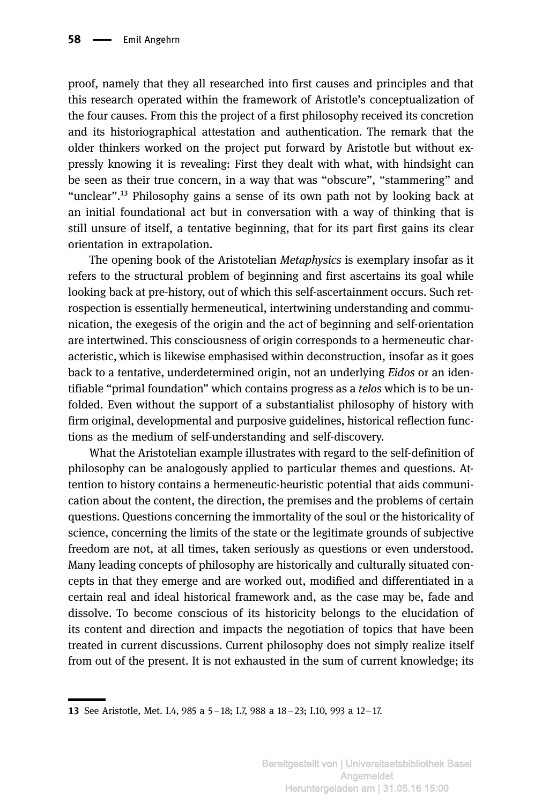proof, namely that they all researched into first causes and principles and that this research operated within the framework of Aristotle's conceptualization of the four causes. From this the project of a first philosophy received its concretion and its historiographical attestation and authentication. The remark that the older thinkers worked on the project put forward by Aristotle but without expressly knowing it is revealing: First they dealt with what, with hindsight can be seen as their true concern, in a way that was "obscure", "stammering" and "unclear".<sup>13</sup> Philosophy gains a sense of its own path not by looking back at an initial foundational act but in conversation with a way of thinking that is still unsure of itself, a tentative beginning, that for its part first gains its clear orientation in extrapolation.

The opening book of the Aristotelian Metaphysics is exemplary insofar as it refers to the structural problem of beginning and first ascertains its goal while looking back at pre-history, out of which this self-ascertainment occurs. Such retrospection is essentially hermeneutical, intertwining understanding and communication, the exegesis of the origin and the act of beginning and self-orientation are intertwined. This consciousness of origin corresponds to a hermeneutic characteristic, which is likewise emphasised within deconstruction, insofar as it goes back to a tentative, underdetermined origin, not an underlying Eidos or an identifiable "primal foundation" which contains progress as a telos which is to be unfolded. Even without the support of a substantialist philosophy of history with firm original, developmental and purposive guidelines, historical reflection functions as the medium of self-understanding and self-discovery.

What the Aristotelian example illustrates with regard to the self-definition of philosophy can be analogously applied to particular themes and questions. Attention to history contains a hermeneutic-heuristic potential that aids communication about the content, the direction, the premises and the problems of certain questions. Questions concerning the immortality of the soul or the historicality of science, concerning the limits of the state or the legitimate grounds of subjective freedom are not, at all times, taken seriously as questions or even understood. Many leading concepts of philosophy are historically and culturally situated concepts in that they emerge and are worked out, modified and differentiated in a certain real and ideal historical framework and, as the case may be, fade and dissolve. To become conscious of its historicity belongs to the elucidation of its content and direction and impacts the negotiation of topics that have been treated in current discussions. Current philosophy does not simply realize itself from out of the present. It is not exhausted in the sum of current knowledge; its

See Aristotle, Met. I.4, 985 a 5–18; I.7, 988 a 18–23; I.10, 993 a 12–17.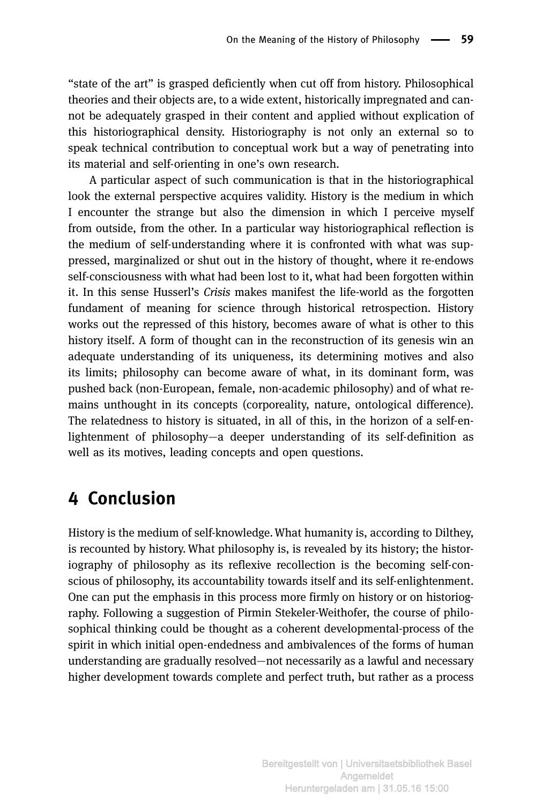"state of the art" is grasped deficiently when cut off from history. Philosophical theories and their objects are, to a wide extent, historically impregnated and cannot be adequately grasped in their content and applied without explication of this historiographical density. Historiography is not only an external so to speak technical contribution to conceptual work but a way of penetrating into its material and self-orienting in one's own research.

A particular aspect of such communication is that in the historiographical look the external perspective acquires validity. History is the medium in which I encounter the strange but also the dimension in which I perceive myself from outside, from the other. In a particular way historiographical reflection is the medium of self-understanding where it is confronted with what was suppressed, marginalized or shut out in the history of thought, where it re-endows self-consciousness with what had been lost to it, what had been forgotten within it. In this sense Husserl's Crisis makes manifest the life-world as the forgotten fundament of meaning for science through historical retrospection. History works out the repressed of this history, becomes aware of what is other to this history itself. A form of thought can in the reconstruction of its genesis win an adequate understanding of its uniqueness, its determining motives and also its limits; philosophy can become aware of what, in its dominant form, was pushed back (non-European, female, non-academic philosophy) and of what remains unthought in its concepts (corporeality, nature, ontological difference). The relatedness to history is situated, in all of this, in the horizon of a self-enlightenment of philosophy—a deeper understanding of its self-definition as well as its motives, leading concepts and open questions.

### 4 Conclusion

History is the medium of self-knowledge.What humanity is, according to Dilthey, is recounted by history. What philosophy is, is revealed by its history; the historiography of philosophy as its reflexive recollection is the becoming self-conscious of philosophy, its accountability towards itself and its self-enlightenment. One can put the emphasis in this process more firmly on history or on historiography. Following a suggestion of Pirmin Stekeler-Weithofer, the course of philosophical thinking could be thought as a coherent developmental-process of the spirit in which initial open-endedness and ambivalences of the forms of human understanding are gradually resolved—not necessarily as a lawful and necessary higher development towards complete and perfect truth, but rather as a process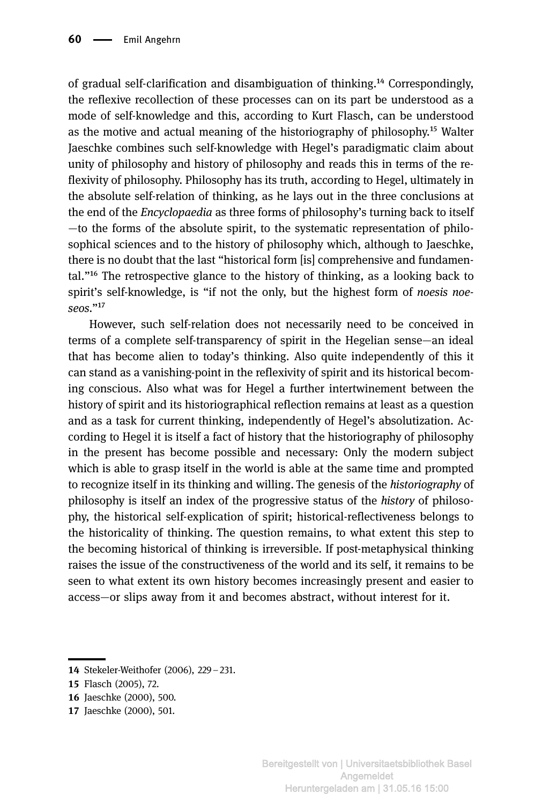of gradual self-clarification and disambiguation of thinking.<sup>14</sup> Correspondingly, the reflexive recollection of these processes can on its part be understood as a mode of self-knowledge and this, according to Kurt Flasch, can be understood as the motive and actual meaning of the historiography of philosophy.<sup>15</sup> Walter Jaeschke combines such self-knowledge with Hegel's paradigmatic claim about unity of philosophy and history of philosophy and reads this in terms of the reflexivity of philosophy. Philosophy has its truth, according to Hegel, ultimately in the absolute self-relation of thinking, as he lays out in the three conclusions at the end of the Encyclopaedia as three forms of philosophy's turning back to itself —to the forms of the absolute spirit, to the systematic representation of philosophical sciences and to the history of philosophy which, although to Jaeschke, there is no doubt that the last "historical form [is] comprehensive and fundamental."<sup>16</sup> The retrospective glance to the history of thinking, as a looking back to spirit's self-knowledge, is "if not the only, but the highest form of *noesis noe* $s\text{e}$ os." $^{17}$ 

However, such self-relation does not necessarily need to be conceived in terms of a complete self-transparency of spirit in the Hegelian sense—an ideal that has become alien to today's thinking. Also quite independently of this it can stand as a vanishing-point in the reflexivity of spirit and its historical becoming conscious. Also what was for Hegel a further intertwinement between the history of spirit and its historiographical reflection remains at least as a question and as a task for current thinking, independently of Hegel's absolutization. According to Hegel it is itself a fact of history that the historiography of philosophy in the present has become possible and necessary: Only the modern subject which is able to grasp itself in the world is able at the same time and prompted to recognize itself in its thinking and willing. The genesis of the historiography of philosophy is itself an index of the progressive status of the history of philosophy, the historical self-explication of spirit; historical-reflectiveness belongs to the historicality of thinking. The question remains, to what extent this step to the becoming historical of thinking is irreversible. If post-metaphysical thinking raises the issue of the constructiveness of the world and its self, it remains to be seen to what extent its own history becomes increasingly present and easier to access—or slips away from it and becomes abstract, without interest for it.

<sup>14</sup> Stekeler-Weithofer (2006), 229-231.

Flasch (2005), 72.

<sup>16</sup> Jaeschke (2000), 500.

<sup>17</sup> Jaeschke (2000), 501.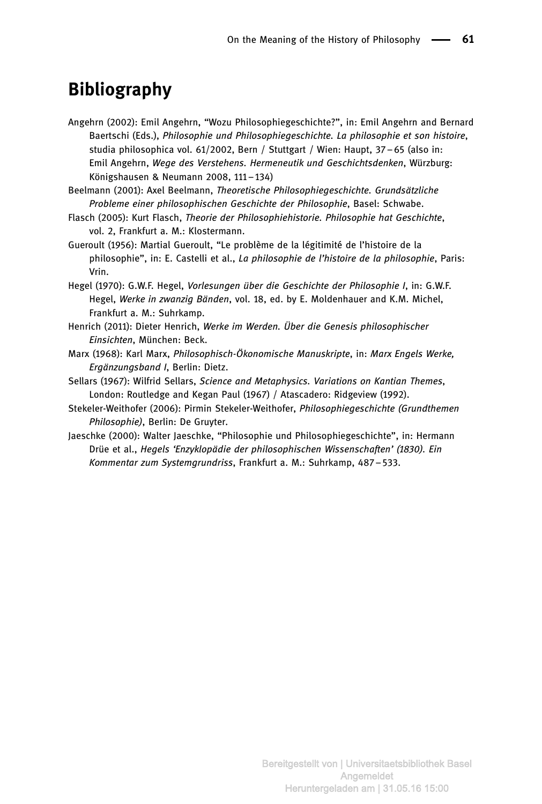### Bibliography

- Angehrn (2002): Emil Angehrn, "Wozu Philosophiegeschichte?", in: Emil Angehrn and Bernard Baertschi (Eds.), Philosophie und Philosophiegeschichte. La philosophie et son histoire, studia philosophica vol. 61/2002, Bern / Stuttgart / Wien: Haupt, 37–65 (also in: Emil Angehrn, Wege des Verstehens. Hermeneutik und Geschichtsdenken, Würzburg: Königshausen & Neumann 2008, 111–134)
- Beelmann (2001): Axel Beelmann, Theoretische Philosophiegeschichte. Grundsätzliche Probleme einer philosophischen Geschichte der Philosophie, Basel: Schwabe.
- Flasch (2005): Kurt Flasch, Theorie der Philosophiehistorie. Philosophie hat Geschichte, vol. 2, Frankfurt a. M.: Klostermann.
- Gueroult (1956): Martial Gueroult, "Le problème de la légitimité de l'histoire de la philosophie", in: E. Castelli et al., La philosophie de l'histoire de la philosophie, Paris: Vrin.
- Hegel (1970): G.W.F. Hegel, Vorlesungen über die Geschichte der Philosophie I, in: G.W.F. Hegel, Werke in zwanzig Bänden, vol. 18, ed. by E. Moldenhauer and K.M. Michel, Frankfurt a. M.: Suhrkamp.
- Henrich (2011): Dieter Henrich, Werke im Werden. Über die Genesis philosophischer Einsichten, München: Beck.
- Marx (1968): Karl Marx, Philosophisch-Ökonomische Manuskripte, in: Marx Engels Werke, Ergänzungsband I, Berlin: Dietz.
- Sellars (1967): Wilfrid Sellars, Science and Metaphysics. Variations on Kantian Themes, London: Routledge and Kegan Paul (1967) / Atascadero: Ridgeview (1992).
- Stekeler-Weithofer (2006): Pirmin Stekeler-Weithofer, Philosophiegeschichte (Grundthemen Philosophie), Berlin: De Gruyter.
- Jaeschke (2000): Walter Jaeschke, "Philosophie und Philosophiegeschichte", in: Hermann Drüe et al., Hegels 'Enzyklopädie der philosophischen Wissenschaften' (1830). Ein Kommentar zum Systemgrundriss, Frankfurt a. M.: Suhrkamp, 487–533.